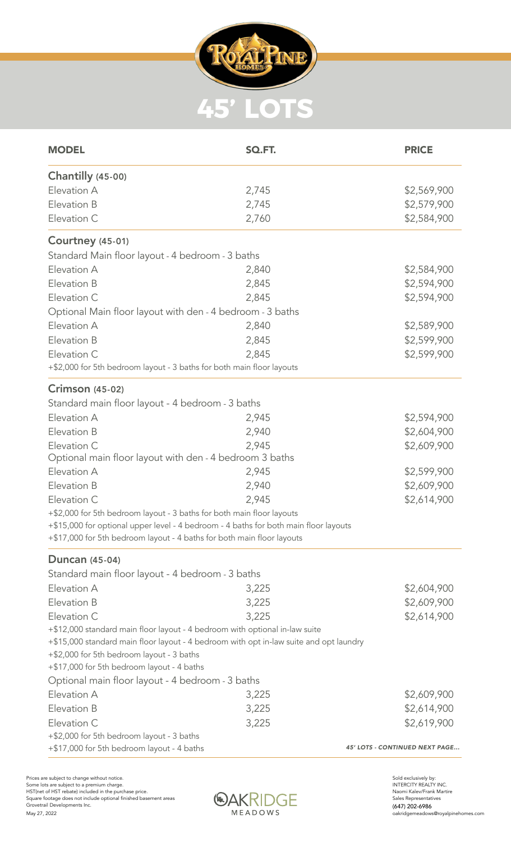

| <b>MODEL</b>                                                                           | SQ.FT. | <b>PRICE</b>                   |  |
|----------------------------------------------------------------------------------------|--------|--------------------------------|--|
| <b>Chantilly (45-00)</b>                                                               |        |                                |  |
| Elevation A                                                                            | 2,745  | \$2,569,900                    |  |
| Elevation B                                                                            | 2,745  | \$2,579,900                    |  |
| Elevation C                                                                            | 2,760  | \$2,584,900                    |  |
| <b>Courtney (45-01)</b>                                                                |        |                                |  |
| Standard Main floor layout - 4 bedroom - 3 baths                                       |        |                                |  |
| Elevation A                                                                            | 2,840  | \$2,584,900                    |  |
| Elevation B                                                                            | 2,845  | \$2,594,900                    |  |
| Elevation C                                                                            | 2,845  | \$2,594,900                    |  |
| Optional Main floor layout with den - 4 bedroom - 3 baths                              |        |                                |  |
| Elevation A                                                                            | 2,840  | \$2,589,900                    |  |
| Elevation B                                                                            | 2,845  | \$2,599,900                    |  |
| Elevation C                                                                            | 2,845  | \$2,599,900                    |  |
| +\$2,000 for 5th bedroom layout - 3 baths for both main floor layouts                  |        |                                |  |
| <b>Crimson (45-02)</b>                                                                 |        |                                |  |
| Standard main floor layout - 4 bedroom - 3 baths                                       |        |                                |  |
| Elevation A                                                                            | 2,945  | \$2,594,900                    |  |
| Elevation B                                                                            | 2,940  | \$2,604,900                    |  |
| Elevation C                                                                            | 2,945  | \$2,609,900                    |  |
| Optional main floor layout with den - 4 bedroom 3 baths                                |        |                                |  |
| Elevation A                                                                            | 2,945  | \$2,599,900                    |  |
| Elevation B                                                                            | 2,940  | \$2,609,900                    |  |
| Elevation C                                                                            | 2,945  | \$2,614,900                    |  |
| +\$2,000 for 5th bedroom layout - 3 baths for both main floor layouts                  |        |                                |  |
| +\$15,000 for optional upper level - 4 bedroom - 4 baths for both main floor layouts   |        |                                |  |
| +\$17,000 for 5th bedroom layout - 4 baths for both main floor layouts                 |        |                                |  |
| <b>Duncan</b> (45-04)                                                                  |        |                                |  |
| Standard main floor layout - 4 bedroom - 3 baths                                       |        |                                |  |
| Elevation A                                                                            | 3,225  | \$2,604,900                    |  |
| Elevation B                                                                            | 3,225  | \$2,609,900                    |  |
| Elevation C                                                                            | 3,225  | \$2,614,900                    |  |
| +\$12,000 standard main floor layout - 4 bedroom with optional in-law suite            |        |                                |  |
| +\$15,000 standard main floor layout - 4 bedroom with opt in-law suite and opt laundry |        |                                |  |
| +\$2,000 for 5th bedroom layout - 3 baths                                              |        |                                |  |
| +\$17,000 for 5th bedroom layout - 4 baths                                             |        |                                |  |
| Optional main floor layout - 4 bedroom - 3 baths                                       |        |                                |  |
| Elevation A                                                                            | 3,225  | \$2,609,900                    |  |
| Elevation B                                                                            | 3,225  | \$2,614,900                    |  |
| Elevation C                                                                            | 3,225  | \$2,619,900                    |  |
| +\$2,000 for 5th bedroom layout - 3 baths                                              |        |                                |  |
| +\$17,000 for 5th bedroom layout - 4 baths                                             |        | 45' LOTS - CONTINUED NEXT PAGE |  |



Sold exclusively by: INTERCITY REALTY INC. Naomi Kalev/Frank Martire Sales Representatives (647) 202-6986 oakridgemeadows@royalpinehomes.com